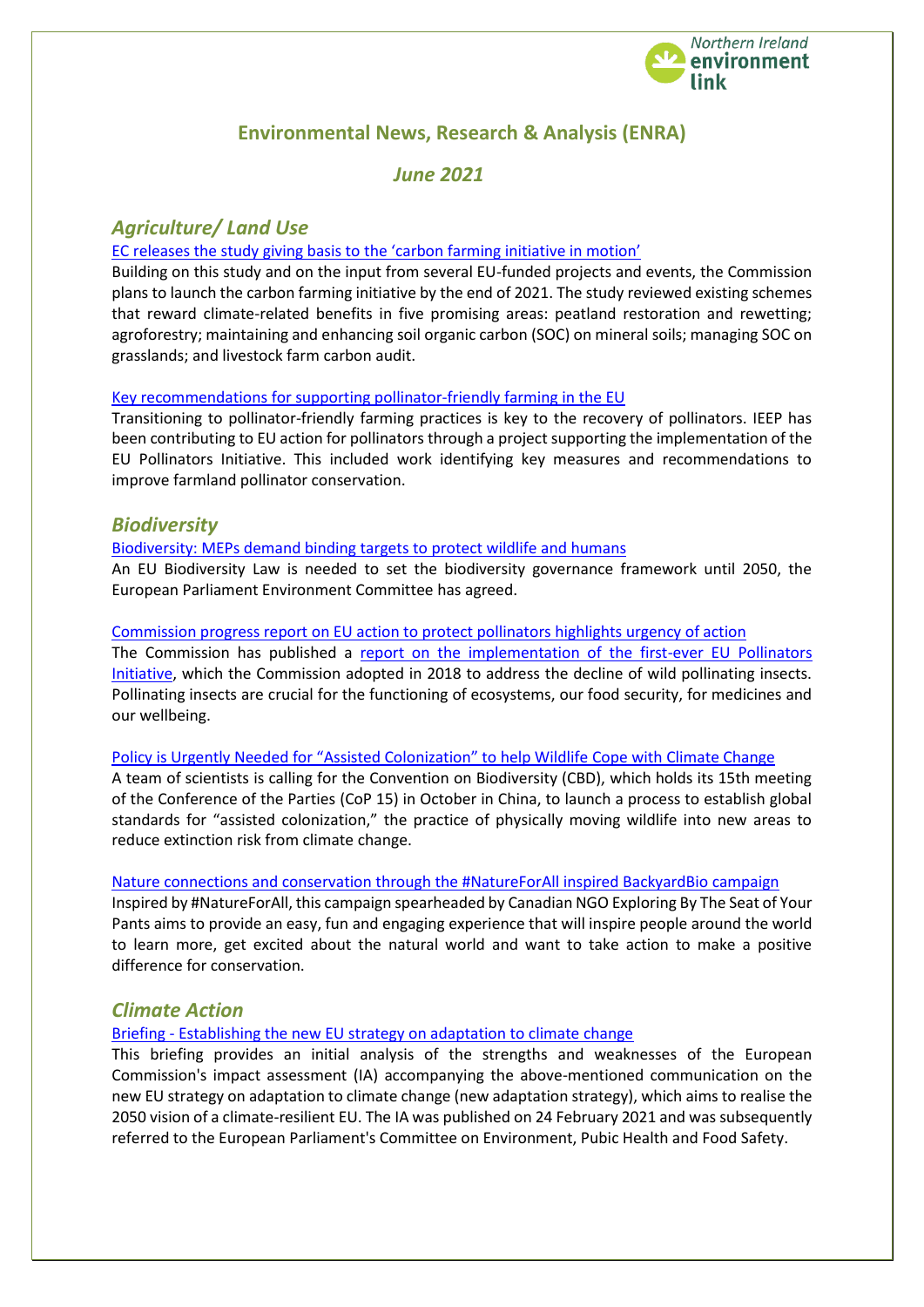

# **Environmental News, Research & Analysis (ENRA)**

# *June 2021*

# *Agriculture/ Land Use*

## [EC releases the study giving basis to the 'carbon farming initiative in motion'](https://cema-agri.org/index.php?option=com_content&view=article&id=794&catid=21&Itemid=107)

Building on this study and on the input from several EU-funded projects and events, the Commission plans to launch the carbon farming initiative by the end of 2021. The study reviewed existing schemes that reward climate-related benefits in five promising areas: peatland restoration and rewetting; agroforestry; maintaining and enhancing soil organic carbon (SOC) on mineral soils; managing SOC on grasslands; and livestock farm carbon audit.

### [Key recommendations for supporting pollinator-friendly farming in the EU](https://ieep.eu/news/key-recommendations-for-supporting-pollinator-friendly-farming-in-the-eu)

Transitioning to pollinator-friendly farming practices is key to the recovery of pollinators. IEEP has been contributing to EU action for pollinators through a project supporting the implementation of the EU Pollinators Initiative. This included work identifying key measures and recommendations to improve farmland pollinator conservation.

## *Biodiversity*

#### [Biodiversity: MEPs demand binding targets to protect wildlife and humans](https://www.europarl.europa.eu/news/en/press-room/20210523IPR04609/biodiversity-meps-demand-binding-targets-to-protect-wildlife-and-humans)

An EU Biodiversity Law is needed to set the biodiversity governance framework until 2050, the European Parliament Environment Committee has agreed.

#### [Commission progress report on EU action to protect pollinators highlights urgency of action](https://ec.europa.eu/commission/presscorner/detail/en/IP_21_2624)

The Commission has published a report on the implementation of the first-ever EU Pollinators [Initiative,](https://ec.europa.eu/environment/nature/conservation/species/pollinators/policy_en.htm) which the Commission adopted in 2018 to address the decline of wild pollinating insects. Pollinating insects are crucial for the functioning of ecosystems, our food security, for medicines and our wellbeing.

#### [Policy is Urgently Needed for "Assisted Colonization" to help Wildlife C](https://www.iucn.org/news/species-survival-commission/202104/scientists-say-policy-urgently-needed-assisted-colonization-help-wildlife-cope-climate-change)ope with Climate Change

A team of scientists is calling for the Convention on Biodiversity (CBD), which holds its 15th meeting of the Conference of the Parties (CoP 15) in October in China, to launch a process to establish global standards for "assisted colonization," the practice of physically moving wildlife into new areas to reduce extinction risk from climate change.

#### [Nature connections and conservation through the #NatureForAll inspired BackyardBio campaign](https://www.iucn.org/news/protected-areas/202104/inspire-nature-connections-and-conservation-through-natureforall-inspired-backyardbio-campaign)

Inspired by #NatureForAll, this campaign spearheaded by Canadian NGO Exploring By The Seat of Your Pants aims to provide an easy, fun and engaging experience that will inspire people around the world to learn more, get excited about the natural world and want to take action to make a positive difference for conservation.

## *Climate Action*

Briefing - [Establishing the new EU strategy on adaptation to climate change](https://www.europarl.europa.eu/thinktank/en/document.html?reference=EPRS_BRI(2021)662642)

This briefing provides an initial analysis of the strengths and weaknesses of the European Commission's impact assessment (IA) accompanying the above-mentioned communication on the new EU strategy on adaptation to climate change (new adaptation strategy), which aims to realise the 2050 vision of a climate-resilient EU. The IA was published on 24 February 2021 and was subsequently referred to the European Parliament's Committee on Environment, Pubic Health and Food Safety.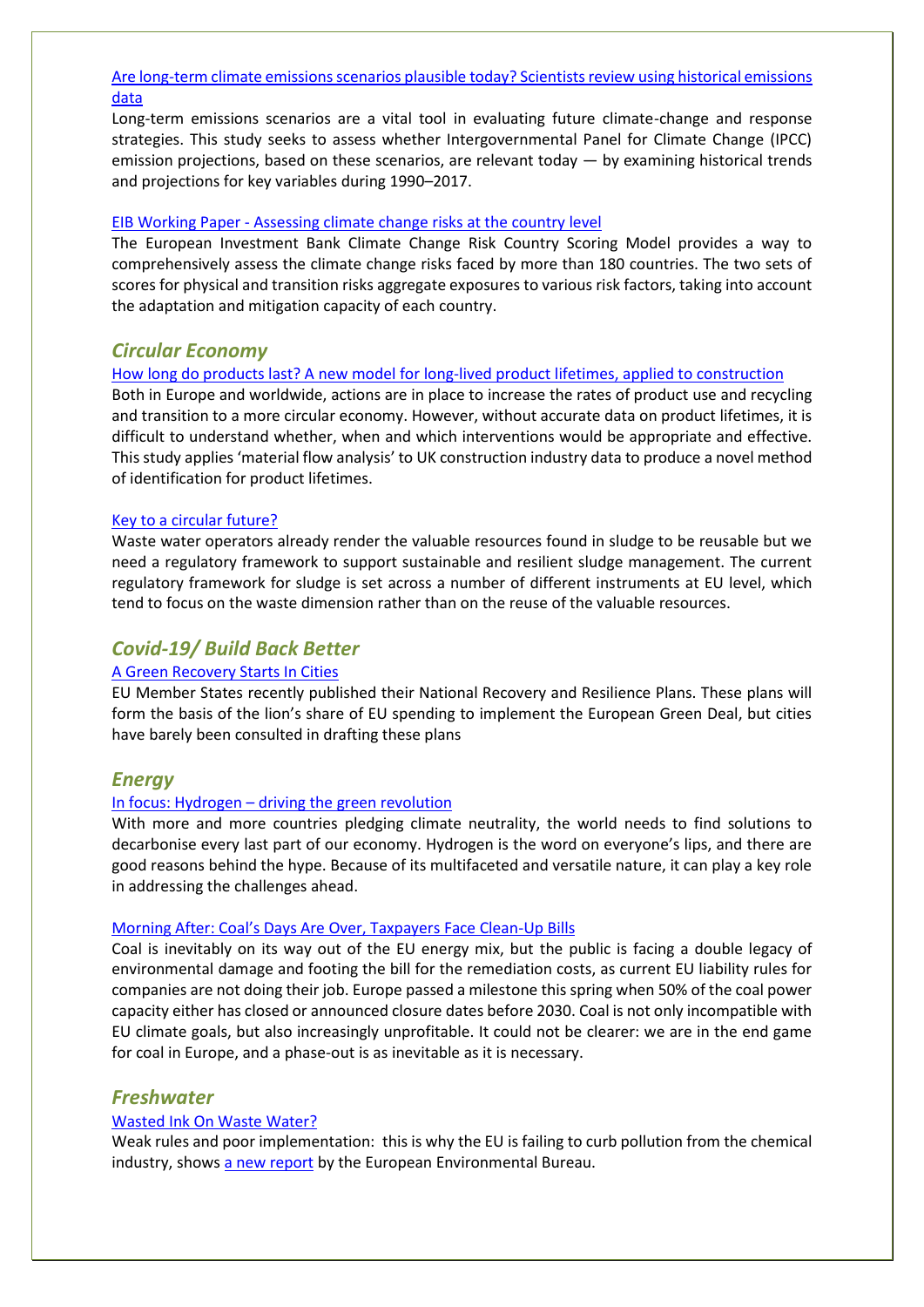## [Are long-term climate emissions scenarios plausible today? Scientists review using historical emissions](https://ec.europa.eu/environment/integration/research/newsalert/pdf/561na1_en-are-long-term-climate-emissions-scenarios-plausible-today-scientists-review-using-historical-emissions-data.pdf)  [data](https://ec.europa.eu/environment/integration/research/newsalert/pdf/561na1_en-are-long-term-climate-emissions-scenarios-plausible-today-scientists-review-using-historical-emissions-data.pdf)

Long-term emissions scenarios are a vital tool in evaluating future climate-change and response strategies. This study seeks to assess whether Intergovernmental Panel for Climate Change (IPCC) emission projections, based on these scenarios, are relevant today  $-$  by examining historical trends and projections for key variables during 1990–2017.

### EIB Working Paper - [Assessing climate change risks at the country level](https://www.eib.org/en/publications/economics-working-paper-2021-03)

The European Investment Bank Climate Change Risk Country Scoring Model provides a way to comprehensively assess the climate change risks faced by more than 180 countries. The two sets of scores for physical and transition risks aggregate exposures to various risk factors, taking into account the adaptation and mitigation capacity of each country.

## *Circular Economy*

#### [How long do products last? A new model for long-lived product lifetimes, applied to construction](https://ec.europa.eu/environment/integration/research/newsalert/pdf/561na3_en-how-long-do-products-last-a-new-model-for-long-lived-product-lifetimes-applied-to-construction.pdf)

Both in Europe and worldwide, actions are in place to increase the rates of product use and recycling and transition to a more circular economy. However, without accurate data on product lifetimes, it is difficult to understand whether, when and which interventions would be appropriate and effective. This study applies 'material flow analysis' to UK construction industry data to produce a novel method of identification for product lifetimes.

### [Key to a circular future?](https://www.eureau.org/resources/news/545-key-to-a-circular-future)

Waste water operators already render the valuable resources found in sludge to be reusable but we need a regulatory framework to support sustainable and resilient sludge management. The current regulatory framework for sludge is set across a number of different instruments at EU level, which tend to focus on the waste dimension rather than on the reuse of the valuable resources.

## *Covid-19/ Build Back Better*

### [A Green Recovery Starts In Cities](https://ieep.eu/news/a-green-recovery-starts-in-cities?)

EU Member States recently published their National Recovery and Resilience Plans. These plans will form the basis of the lion's share of EU spending to implement the European Green Deal, but cities have barely been consulted in drafting these plans

## *Energy*

#### In focus: Hydrogen - [driving the green revolution](https://ec.europa.eu/info/news/focus-hydrogen-driving-green-revolution-2021-abr-14_en)

With more and more countries pledging climate neutrality, the world needs to find solutions to decarbonise every last part of our economy. Hydrogen is the word on everyone's lips, and there are good reasons behind the hype. Because of its multifaceted and versatile nature, it can play a key role in addressing the challenges ahead.

#### [Morning After: Coal's Days Are Over, Taxpayers Face Clean](https://meta.eeb.org/2021/05/27/morning-after-coals-days-are-over-tax-payers-face-clean-up-bills/)-Up Bills

Coal is inevitably on its way out of the EU energy mix, but the public is facing a double legacy of environmental damage and footing the bill for the remediation costs, as current EU liability rules for companies are not doing their job. Europe passed a milestone this spring when 50% of the coal power capacity either has closed or announced closure dates before 2030. Coal is not only incompatible with EU climate goals, but also increasingly unprofitable. It could not be clearer: we are in the end game for coal in Europe, and a phase-out is as inevitable as it is necessary.

## *Freshwater*

### [Wasted Ink On Waste Water?](https://meta.eeb.org/2021/05/03/wasted-ink-on-waste-water/)

Weak rules and poor implementation: this is why the EU is failing to curb pollution from the chemical industry, shows [a new report](https://eeb.org/library/wasted-ink-on-waste-water-of-missed-opportunities-and-untapped-potential-in-the-cww-bref/) by the European Environmental Bureau.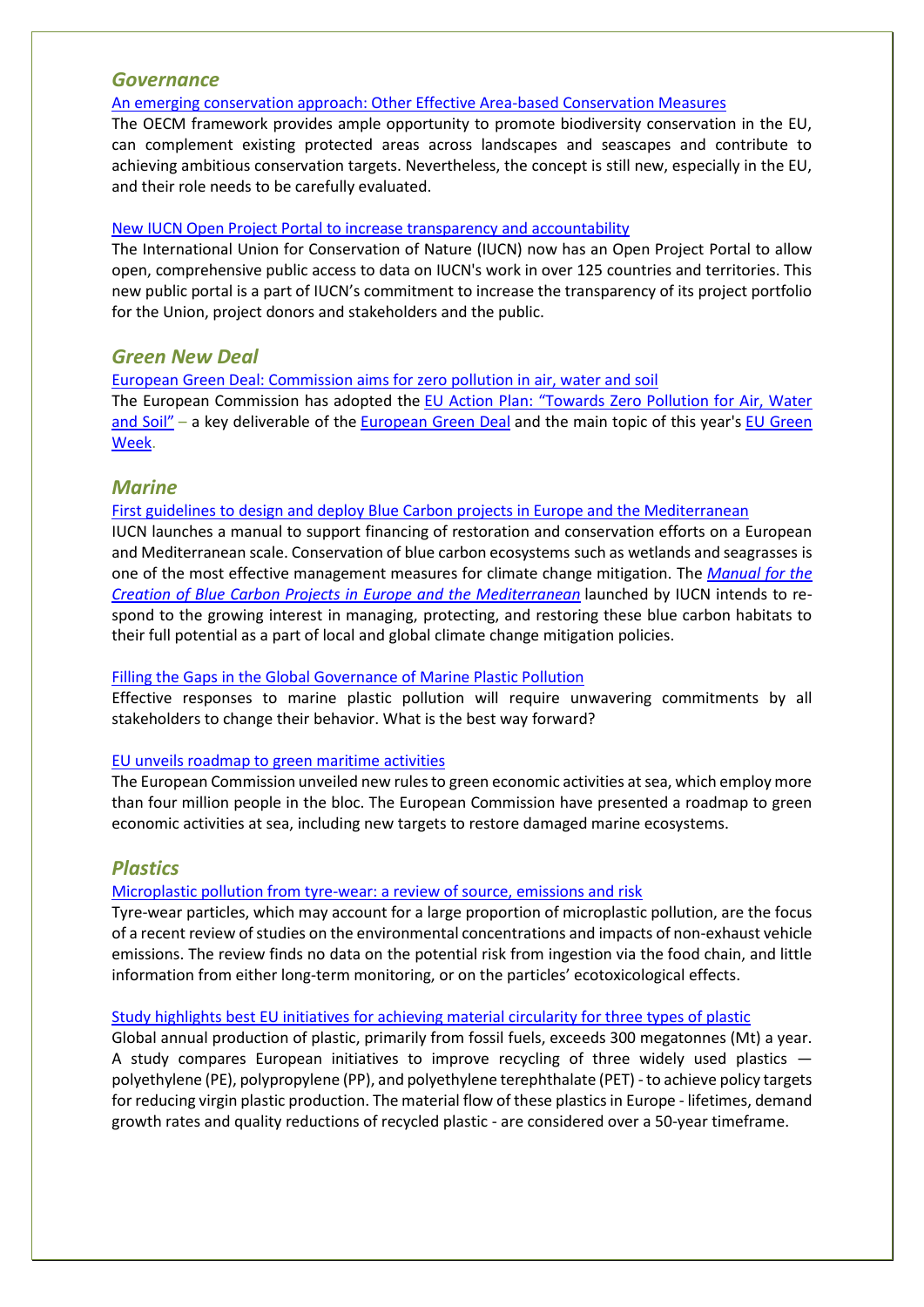## *Governance*

[An emerging conservation approach: Other Effective Area-based Conservation Measures](https://ieep.eu/news/an-emerging-conservation-approach-other-effective-area-based-conservation-measures)

The OECM framework provides ample opportunity to promote biodiversity conservation in the EU, can complement existing protected areas across landscapes and seascapes and contribute to achieving ambitious conservation targets. Nevertheless, the concept is still new, especially in the EU, and their role needs to be carefully evaluated.

### [New IUCN Open Project Portal to increase transparency and accountability](https://www.iucn.org/news/secretariat/202105/new-iucn-open-project-portal-increase-transparency-and-accountability)

The International Union for Conservation of Nature (IUCN) now has an Open Project Portal to allow open, comprehensive public access to data on IUCN's work in over 125 countries and territories. This new public portal is a part of IUCN's commitment to increase the transparency of its project portfolio for the Union, project donors and stakeholders and the public.

## *Green New Deal*

[European Green Deal: Commission aims for zero pollution in air, water and soil](https://ec.europa.eu/commission/presscorner/detail/en/IP_21_2345)

The European Commission has adopted the [EU Action Plan: "Towards Zero Pollution for Air, Water](https://ec.europa.eu/environment/pdf/zero-pollution-action-plan/communication_en.pdf)  [and Soil"](https://ec.europa.eu/environment/pdf/zero-pollution-action-plan/communication_en.pdf) – a key deliverable of the [European Green Deal](https://ec.europa.eu/info/strategy/priorities-2019-2024/european-green-deal_en) and the main topic of this year's EU Green [Week.](https://www.eugreenweek.eu/)

## *Marine*

[First guidelines to design and deploy Blue Carbon projects in Europe and the Mediterranean](https://www.iucn.org/news/mediterranean/202105/first-guidelines-design-and-deploy-blue-carbon-projects-europe-and-mediterranean)

IUCN launches a manual to support financing of restoration and conservation efforts on a European and Mediterranean scale. Conservation of blue carbon ecosystems such as wetlands and seagrasses is one of the most effective management measures for climate change mitigation. The *[Manual for the](https://www.iucn.org/sites/dev/files/content/documents/2021/manualbluecarbon_eng_lr.pdf)  [Creation of Blue Carbon Projects in Europe and the Mediterranean](https://www.iucn.org/sites/dev/files/content/documents/2021/manualbluecarbon_eng_lr.pdf)* launched by IUCN intends to respond to the growing interest in managing, protecting, and restoring these blue carbon habitats to their full potential as a part of local and global climate change mitigation policies.

### [Filling the Gaps in the Global Governance of Marine Plastic Pollution](https://www.iucn.org/news/world-commission-environmental-law/202105/filling-gaps-global-governance-marine-plastic-pollution)

Effective responses to marine plastic pollution will require unwavering commitments by all stakeholders to change their behavior. What is the best way forward?

### [EU unveils roadmap to green maritime activities](https://euobserver.com/climate/151869?utm_source=euobs&utm_medium=rss)

The European Commission unveiled new rules to green economic activities at sea, which employ more than four million people in the bloc. The European Commission have presented a roadmap to green economic activities at sea, including new targets to restore damaged marine ecosystems.

## *Plastics*

### [Microplastic pollution from tyre-wear: a review of source, emissions and risk](https://ec.europa.eu/environment/integration/research/newsalert/pdf/561na4_en-microplastic-pollution-from-tyre-wear-a-review-of-source-emissions-and-risk.pdf)

Tyre-wear particles, which may account for a large proportion of microplastic pollution, are the focus of a recent review of studies on the environmental concentrations and impacts of non-exhaust vehicle emissions. The review finds no data on the potential risk from ingestion via the food chain, and little information from either long-term monitoring, or on the particles' ecotoxicological effects.

### [Study highlights best EU initiatives for achieving material circularity for three types of plastic](https://ec.europa.eu/environment/integration/research/newsalert/pdf/561na4_en-study-highlights-best-eu-initiatives-for-achieving-material-circularity-for-three-types-of-plastic.pdf)

Global annual production of plastic, primarily from fossil fuels, exceeds 300 megatonnes (Mt) a year. A study compares European initiatives to improve recycling of three widely used plastics polyethylene (PE), polypropylene (PP), and polyethylene terephthalate (PET) -to achieve policy targets for reducing virgin plastic production. The material flow of these plastics in Europe - lifetimes, demand growth rates and quality reductions of recycled plastic - are considered over a 50-year timeframe.